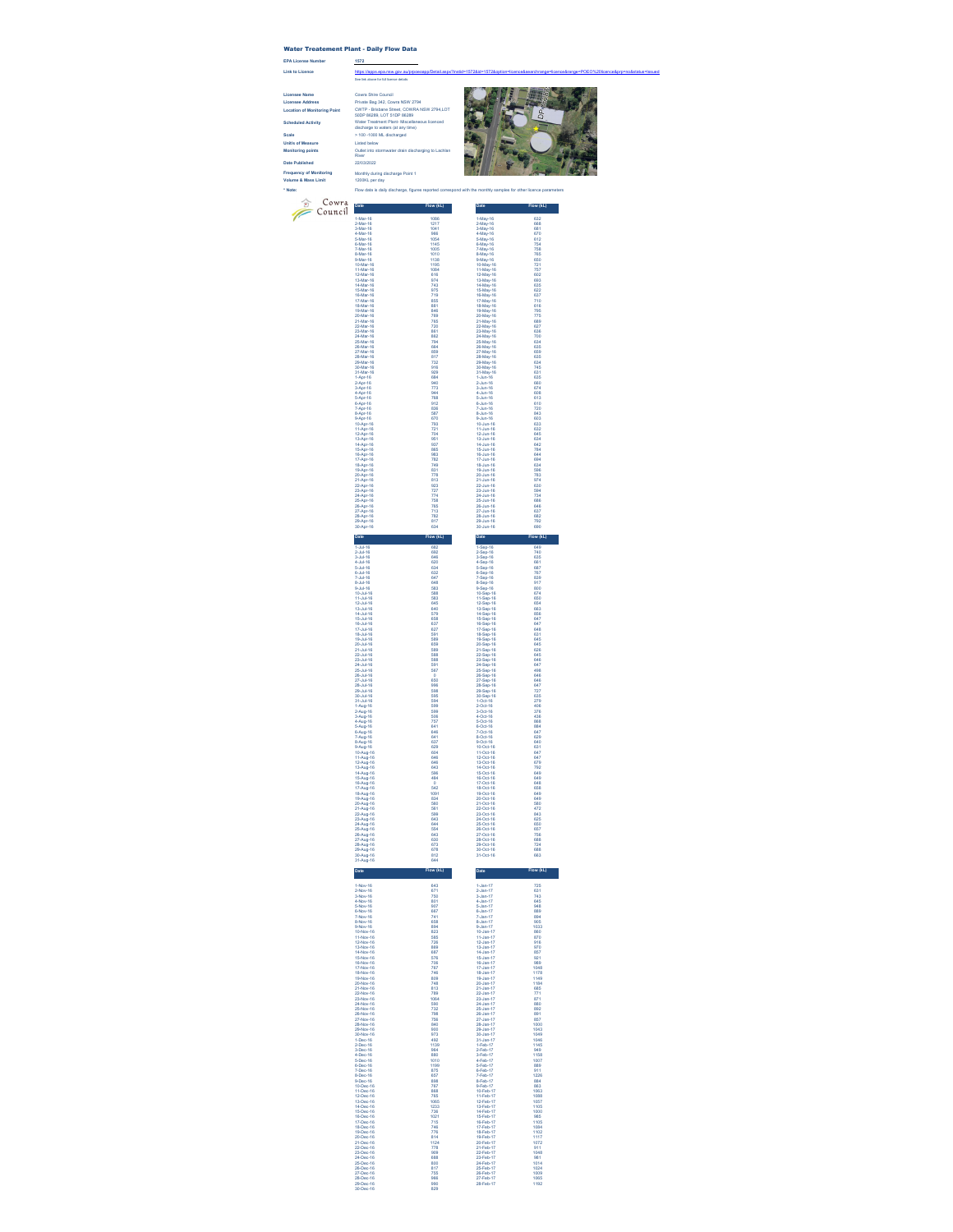## Water Treatement Plant - Daily Flow Data

**EPA License Number 1572**

See link above for full licence details

22/03/2022

Outlet into stormwater drain discharging to Lachlan River

external.<br>aspx?institute=1572&id=1572&id=1572&id=1572&id=1572&id=1572&id=1572&id=1572&brp=no&status=Issued=POEO%20licence<br>POEO%20licence&pre=no&status=Issued=POEO%20licence&pre=no&status=Issued=POEO%20licence&pre=no&status Licensee Name<br>
Licensee Address Count Shire Council Prince Bag 342, Cown NSW 2794<br>
Location of Monitoring Point CVITP - Britishan Sheet, COVIRA NSW 2794,LOT<br>
Scheduled Activity<br>
Scheduled Activity<br>
Scheduled Activity<br>
Sche **Location of Monitoring Point Scheduled Activity Scale** > 100 -1000 ML discharged **Unit/s of Measure** Listed below **Monitoring points**



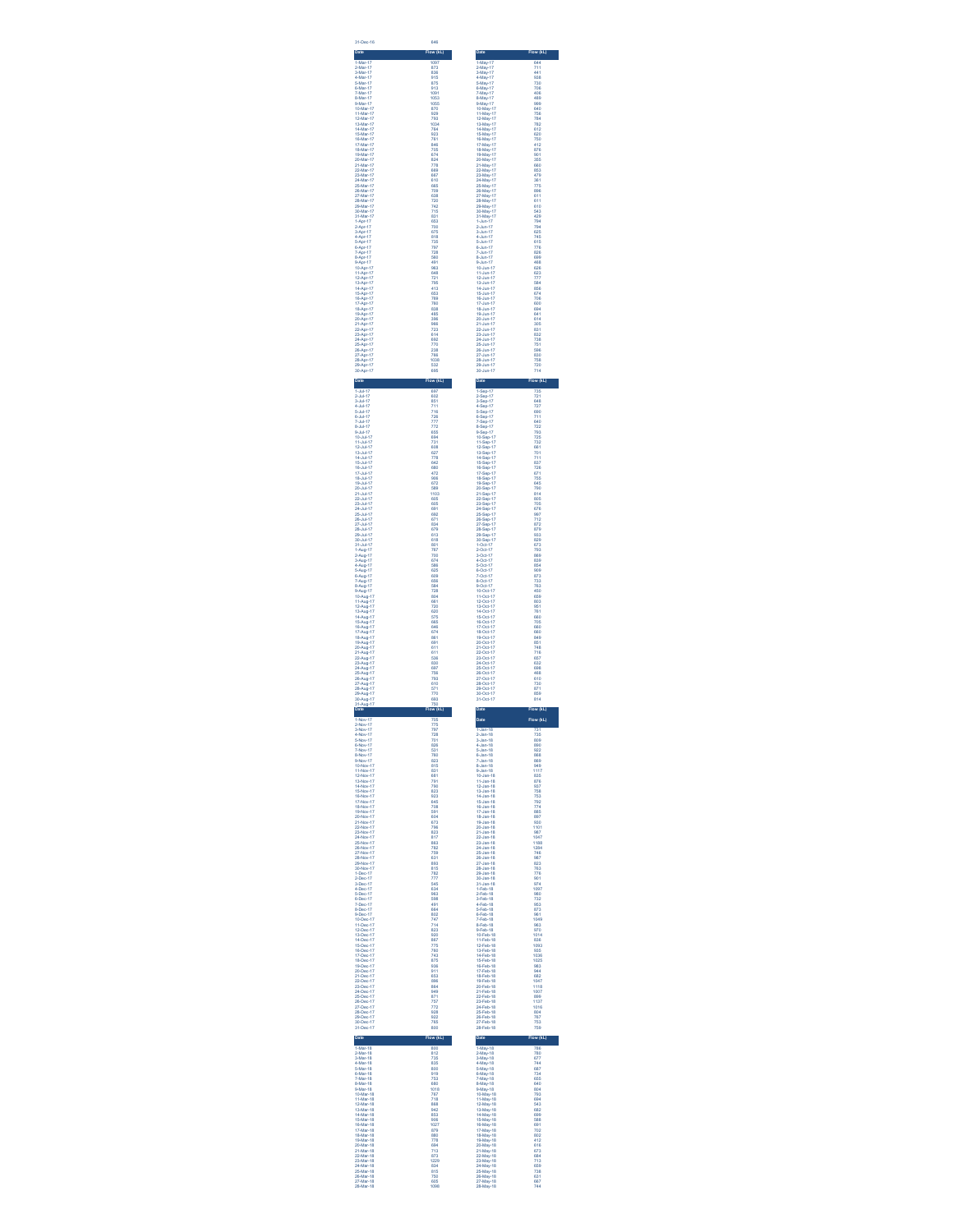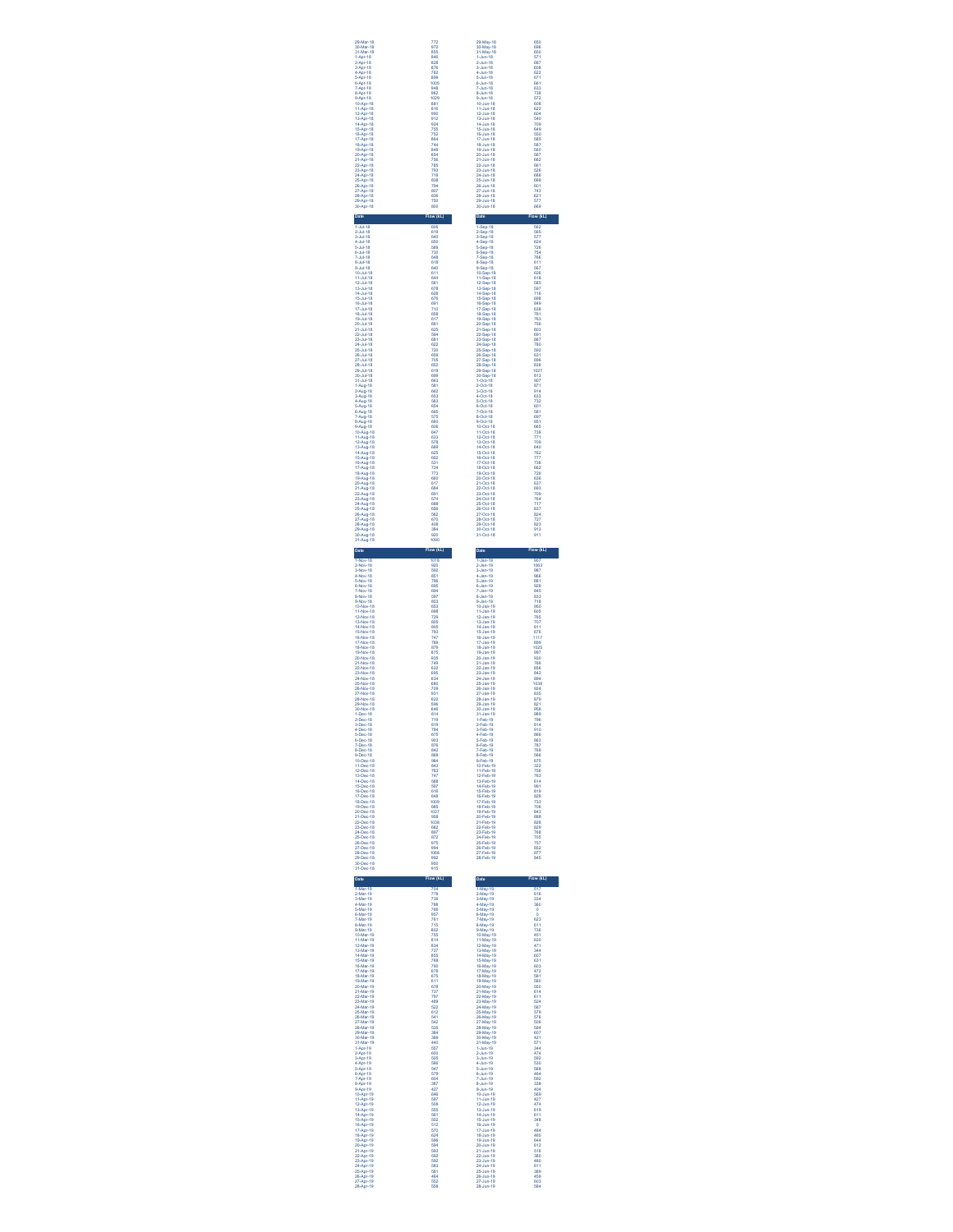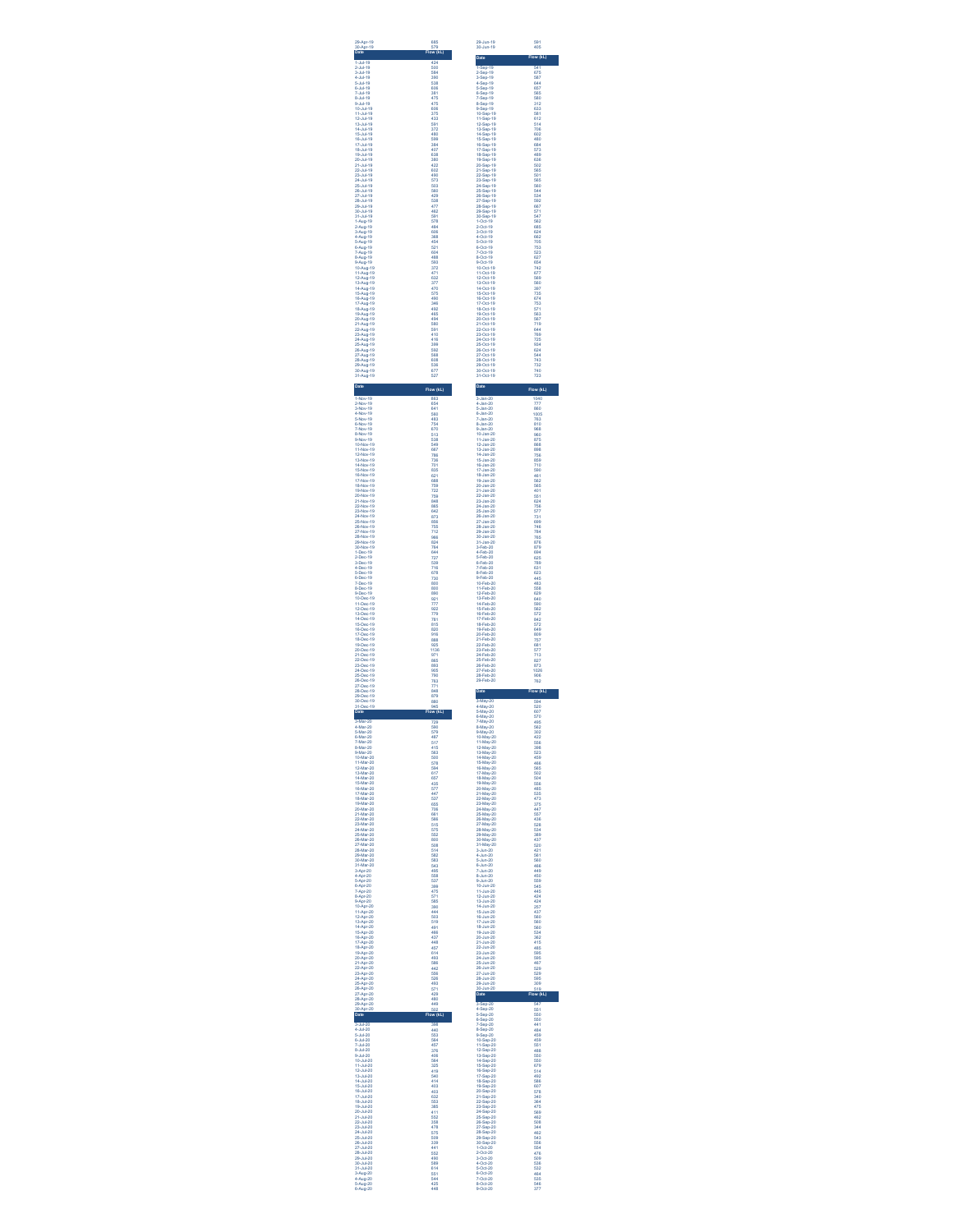